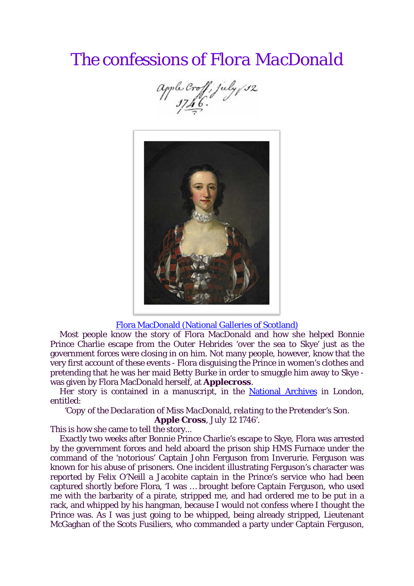## *The confessions of Flora MacDonald*





## Flora MacDonald [\(National Galleries of Scotland\)](http://www.nationalgalleries.org/collection/artists-a-z/W/5860/artistName/Richard%20Wilson/recordId/3080#.UAP46fV-R8E)

Most people know the story of Flora MacDonald and how she helped Bonnie Prince Charlie escape from the Outer Hebrides 'over the sea to Skye' just as the government forces were closing in on him. Not many people, however, know that the very first account of these events - Flora disguising the Prince in women's clothes and pretending that he was her maid Betty Burke in order to smuggle him away to Skye was given by Flora MacDonald herself, at **Applecross**.

Her story is contained in a manuscript, in the [National Archives](http://www.nationalarchives.gov.uk/) in London, entitled:

*'Copy of the Declaration of Miss MacDonald, relating to the Pretender's Son. Apple Cross, July 12 1746'*.

This is how she came to tell the story...

Exactly two weeks after Bonnie Prince Charlie's escape to Skye, Flora was arrested by the government forces and held aboard the prison ship HMS Furnace under the command of the 'notorious' Captain John Ferguson from Inverurie. Ferguson was known for his abuse of prisoners. One incident illustrating Ferguson's character was reported by Felix O'Neill a Jacobite captain in the Prince's service who had been captured shortly before Flora, 'I was … brought before Captain Ferguson, who used me with the barbarity of a pirate, stripped me, and had ordered me to be put in a rack, and whipped by his hangman, because I would not confess where I thought the Prince was. As I was just going to be whipped, being already stripped, Lieutenant McGaghan of the Scots Fusiliers, who commanded a party under Captain Ferguson,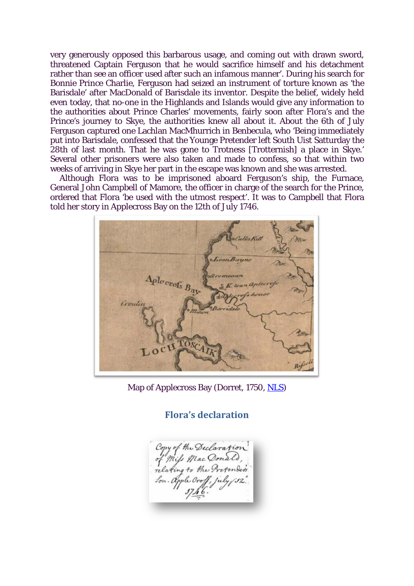very generously opposed this barbarous usage, and coming out with drawn sword, threatened Captain Ferguson that he would sacrifice himself and his detachment rather than see an officer used after such an infamous manner'. During his search for Bonnie Prince Charlie, Ferguson had seized an instrument of torture known as 'the Barisdale' after MacDonald of Barisdale its inventor. Despite the belief, widely held even today, that no-one in the Highlands and Islands would give any information to the authorities about Prince Charles' movements, fairly soon after Flora's and the Prince's journey to Skye, the authorities knew all about it. About the 6th of July Ferguson captured one Lachlan MacMhurrich in Benbecula, who 'Being immediately put into Barisdale, confessed that the Younge Pretender left South Uist Satturday the 28th of last month. That he was gone to Trotness [Trotternish] a place in Skye.' Several other prisoners were also taken and made to confess, so that within two weeks of arriving in Skye her part in the escape was known and she was arrested.

Although Flora was to be imprisoned aboard Ferguson's ship, the Furnace, General John Campbell of Mamore, the officer in charge of the search for the Prince, ordered that Flora 'be used with the utmost respect'. It was to Campbell that Flora told her story in Applecross Bay on the 12th of July 1746.



Map of Applecross Bay (Dorret, 1750, [NLS\)](http://maps.nls.uk/lizardtech/iserv/getimage?cat=Maps&item=74400603.sid&cp=0.520718462823726,0.6918973572275294&lev=1&wid=700&hei=500&)

**Flora's declaration**

Copy of the Declaration<br>of Mils Mac Donald,<br>relating to the Pretenders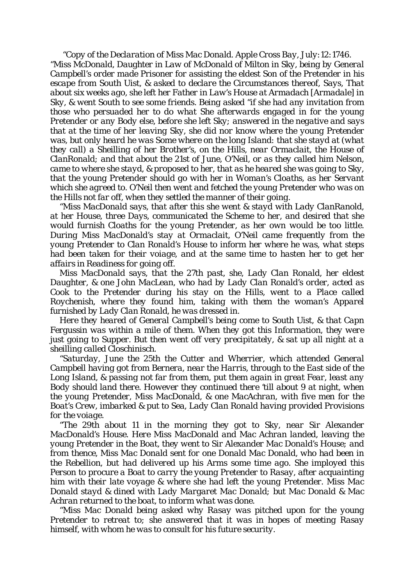*"Copy of the Declaration of Miss Mac Donald. Apple Cross Bay, July:12:1746. "Miss McDonald, Daughter in Law of McDonald of Milton in Sky, being by General Campbell's order made Prisoner for assisting the eldest Son of the Pretender in his escape from South Uist, & asked to declare the Circumstances thereof, Says, That about six weeks ago, she left her Father in Law's House at Armadach [Armadale] in Sky, & went South to see some friends. Being asked "if she had any invitation from those who persuaded her to do what She afterwards engaged in for the young Pretender or any Body else, before she left Sky; answered in the negative and says that at the time of her leaving Sky, she did nor know where the young Pretender was, but only heard he was Some where on the long Island: that she stayd at (what they call) a Sheilling of her Brother's, on the Hills, near Ormaclait, the House of ClanRonald; and that about the 21st of June, O'Neil, or as they called him Nelson, came to where she stayd, & proposed to her, that as he heared she was going to Sky, that the young Pretender should go with her in Woman's Cloaths, as her Servant which she agreed to. O'Neil then went and fetched the young Pretender who was on the Hills not far off, when they settled the manner of their going.*

*"Miss MacDonald says, that after this she went & stayd with Lady ClanRanold, at her House, three Days, communicated the Scheme to her, and desired that she would furnish Cloaths for the young Pretender, as her own would be too little. During Miss MacDonald's stay at Ormaclait, O'Neil came frequently from the young Pretender to Clan Ronald's House to inform her where he was, what steps had been taken for their voiage, and at the same time to hasten her to get her affairs in Readiness for going off.*

*Miss MacDonald says, that the 27th past, she, Lady Clan Ronald, her eldest Daughter, & one John MacLean, who had by Lady Clan Ronald's order, acted as Cook to the Pretender during his stay on the Hills, went to a Place called Roychenish, where they found him, taking with them the woman's Apparel furnished by Lady Clan Ronald, he was dressed in.*

*Here they heared of General Campbell's being come to South Uist, & that Capn Fergussin was within a mile of them. When they got this Information, they were just going to Supper. But then went off very precipitately, & sat up all night at a sheilling called Closchinisch.*

*"Saturday, June the 25th the Cutter and Wherrier, which attended General Campbell having got from Bernera, near the Harris, through to the East side of the Long Island, & passing not far from them, put them again in great Fear, least any Body should land there. However they continued there 'till about 9 at night, when the young Pretender, Miss MacDonald, & one MacAchran, with five men for the Boat's Crew, imbarked & put to Sea, Lady Clan Ronald having provided Provisions for the voiage.*

*"The 29th about 11 in the morning they got to Sky, near Sir Alexander MacDonald's House. Here Miss MacDonald and Mac Achran landed, leaving the young Pretender in the Boat, they went to Sir Alexander Mac Donald's House; and from thence, Miss Mac Donald sent for one Donald Mac Donald, who had been in the Rebellion, but had delivered up his Arms some time ago. She imployed this Person to procure a Boat to carry the young Pretender to Rasay, after acquainting him with their late voyage & where she had left the young Pretender. Miss Mac Donald stayd & dined with Lady Margaret Mac Donald; but Mac Donald & Mac Achran returned to the boat, to inform what was done.*

*"Miss Mac Donald being asked why Rasay was pitched upon for the young Pretender to retreat to; she answered that it was in hopes of meeting Rasay himself, with whom he was to consult for his future security.*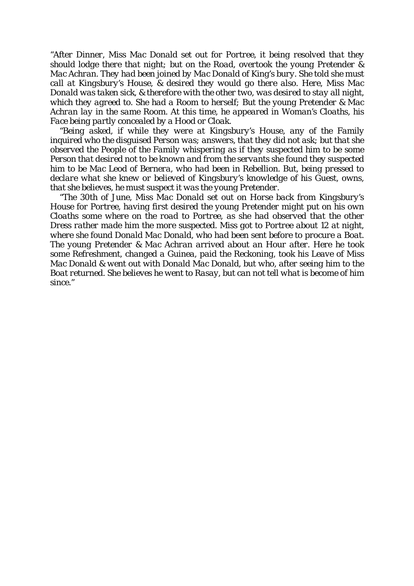*"After Dinner, Miss Mac Donald set out for Portree, it being resolved that they should lodge there that night; but on the Road, overtook the young Pretender & Mac Achran. They had been joined by Mac Donald of King's bury. She told she must call at Kingsbury's House, & desired they would go there also. Here, Miss Mac Donald was taken sick, & therefore with the other two, was desired to stay all night, which they agreed to. She had a Room to herself; But the young Pretender & Mac Achran lay in the same Room. At this time, he appeared in Woman's Cloaths, his Face being partly concealed by a Hood or Cloak.*

*"Being asked, if while they were at Kingsbury's House, any of the Family inquired who the disguised Person was; answers, that they did not ask; but that she observed the People of the Family whispering as if they suspected him to be some Person that desired not to be known and from the servants she found they suspected him to be Mac Leod of Bernera, who had been in Rebellion. But, being pressed to declare what she knew or believed of Kingsbury's knowledge of his Guest, owns, that she believes, he must suspect it was the young Pretender.*

*"The 30th of June, Miss Mac Donald set out on Horse back from Kingsbury's House for Portree, having first desired the young Pretender might put on his own Cloaths some where on the road to Portree, as she had observed that the other Dress rather made him the more suspected. Miss got to Portree about 12 at night, where she found Donald Mac Donald, who had been sent before to procure a Boat. The young Pretender & Mac Achran arrived about an Hour after. Here he took some Refreshment, changed a Guinea, paid the Reckoning, took his Leave of Miss Mac Donald & went out with Donald Mac Donald, but who, after seeing him to the Boat returned. She believes he went to Rasay, but can not tell what is become of him since."*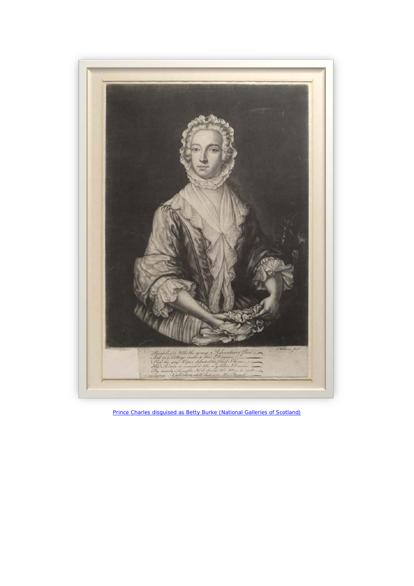

*[Prince Charles disguised as Betty Burke \(National Galleries of Scotland\)](http://digital.nls.uk/jacobite-prints-and-broadsides/pageturner.cfm?id=75240638)*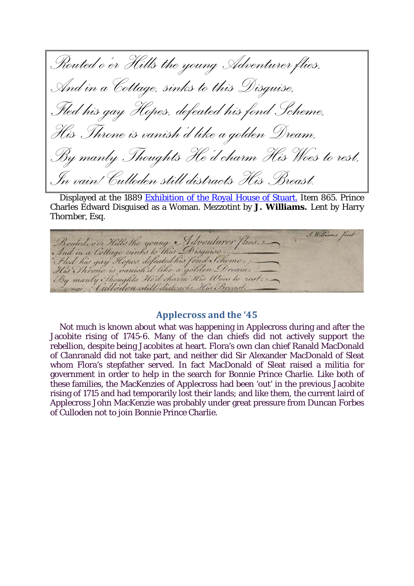*Routed o'er Hills the young Adventurer flies, And in a Cottage, sinks to this Disguise, Fled his gay Hopes, defeated his fond Scheme, His Throne is vanish'd like a golden Dream, By manly Thoughts He'd charm His Woes to rest, In vain! Culloden still distracts His Breast.*

Displayed at the 1889 [Exhibition of the Royal House of Stuart.](http://books.google.com/books?id=RHltAAAAIAAJ&dq=Exhibition%20of%20the%20royal%20house%20of%20Stuart%20by%20England&pg=PA142#v=snippet&q=865&f=false) Item 865. Prince Charles Edward Disguised as a Woman. Mezzotint by **J. Williams.** Lent by Harry Thornber, Esq.

Rouled, o'er Hills the young Adventurer flies, J. Williams

## **Applecross and the '45**

Not much is known about what was happening in Applecross during and after the Jacobite rising of 1745-6. Many of the clan chiefs did not actively support the rebellion, despite being Jacobites at heart. Flora's own clan chief Ranald MacDonald of Clanranald did not take part, and neither did Sir Alexander MacDonald of Sleat whom Flora's stepfather served. In fact MacDonald of Sleat raised a militia for government in order to help in the search for Bonnie Prince Charlie. Like both of these families, the MacKenzies of Applecross had been 'out' in the previous Jacobite rising of 1715 and had temporarily lost their lands; and like them, the current laird of Applecross John MacKenzie was probably under great pressure from Duncan Forbes of Culloden not to join Bonnie Prince Charlie.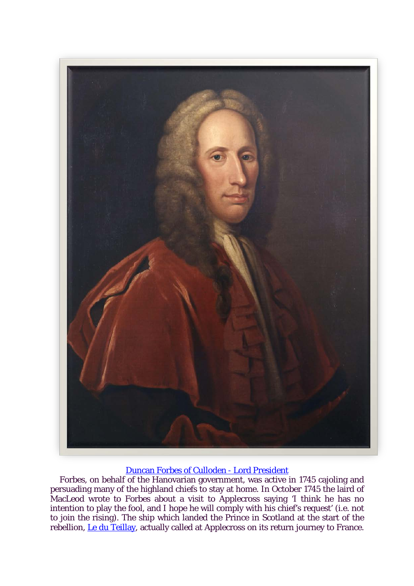

## [Duncan Forbes of Culloden -](http://en.wikipedia.org/wiki/Duncan_Forbes,_Lord_Culloden) Lord President

Forbes, on behalf of the Hanovarian government, was active in 1745 cajoling and persuading many of the highland chiefs to stay at home. In October 1745 the laird of MacLeod wrote to Forbes about a visit to Applecross saying 'I think he has no intention to play the fool, and I hope he will comply with his chief's request' (i.e. not to join the rising). The ship which landed the Prince in Scotland at the start of the rebellion, [Le du Teillay,](http://www.yourphotocard.com/Ascanius/LogDuTeillay.pdf#page=9) actually called at Applecross on its return journey to France.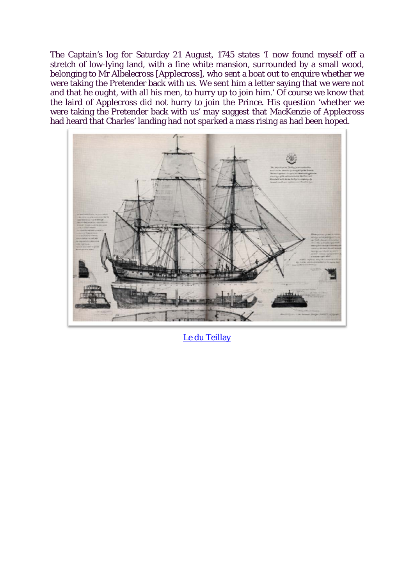The Captain's log for Saturday 21 August, 1745 states 'I now found myself off a stretch of low-lying land, with a fine white mansion, surrounded by a small wood, belonging to Mr Albelecross [Applecross], who sent a boat out to enquire whether we were taking the Pretender back with us. We sent him a letter saying that we were not and that he ought, with all his men, to hurry up to join him.' Of course we know that the laird of Applecross did not hurry to join the Prince. His question 'whether we were taking the Pretender back with us' may suggest that MacKenzie of Applecross had heard that Charles' landing had not sparked a mass rising as had been hoped.



[Le du Teillay](http://www.yourphotocard.com/Ascanius/Le%20Du%20Teillay.htm)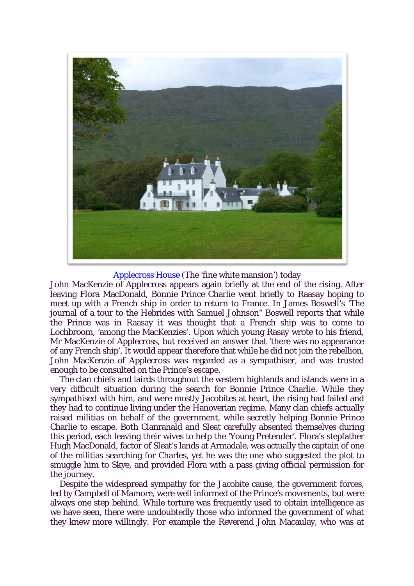

[Applecross House](http://goo.gl/XW4Tj) (The 'fine white mansion') today

John MacKenzie of Applecross appears again briefly at the end of the rising. After leaving Flora MacDonald, Bonnie Prince Charlie went briefly to Raasay hoping to meet up with a French ship in order to return to France. In James Boswell's 'The journal of a tour to the Hebrides with Samuel Johnson" Boswell reports that while the Prince was in Raasay it was thought that a French ship was to come to Lochbroom, 'among the MacKenzies'. Upon which young Rasay wrote to his friend, Mr MacKenzie of Applecross, but received an answer that 'there was no appearance of any French ship'. It would appear therefore that while he did not join the rebellion, John MacKenzie of Applecross was regarded as a sympathiser, and was trusted enough to be consulted on the Prince's escape.

The clan chiefs and lairds throughout the western highlands and islands were in a very difficult situation during the search for Bonnie Prince Charlie. While they sympathised with him, and were mostly Jacobites at heart, the rising had failed and they had to continue living under the Hanoverian regime. Many clan chiefs actually raised militias on behalf of the government, while secretly helping Bonnie Prince Charlie to escape. Both Clanranald and Sleat carefully absented themselves during this period, each leaving their wives to help the 'Young Pretender'. Flora's stepfather Hugh MacDonald, factor of Sleat's lands at Armadale, was actually the captain of one of the militias searching for Charles, yet he was the one who suggested the plot to smuggle him to Skye, and provided Flora with a pass giving official permission for the journey.

Despite the widespread sympathy for the Jacobite cause, the government forces, led by Campbell of Mamore, were well informed of the Prince's movements, but were always one step behind. While torture was frequently used to obtain intelligence as we have seen, there were undoubtedly those who informed the government of what they knew more willingly. For example the Reverend John Macaulay, who was at